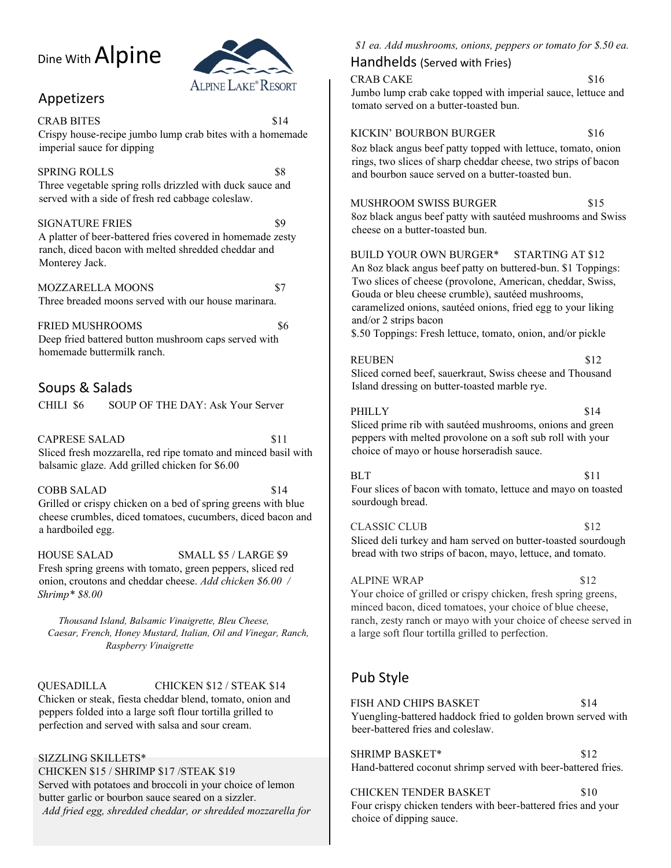# Dine With Alpine



# Appetizers

CRAB BITES \$14 Crispy house-recipe jumbo lump crab bites with a homemade imperial sauce for dipping

SPRING ROLLS \$8 Three vegetable spring rolls drizzled with duck sauce and served with a side of fresh red cabbage coleslaw.

#### SIGNATURE FRIES \$9 A platter of beer-battered fries covered in homemade zesty ranch, diced bacon with melted shredded cheddar and Monterey Jack.

MOZZARELLA MOONS \$7 Three breaded moons served with our house marinara.

FRIED MUSHROOMS \$6 Deep fried battered button mushroom caps served with homemade buttermilk ranch.

# Soups & Salads

CHILI \$6 SOUP OF THE DAY: Ask Your Server

CAPRESE SALAD \$11 Sliced fresh mozzarella, red ripe tomato and minced basil with balsamic glaze. Add grilled chicken for \$6.00

COBB SALAD \$14 Grilled or crispy chicken on a bed of spring greens with blue cheese crumbles, diced tomatoes, cucumbers, diced bacon and a hardboiled egg.

HOUSE SALAD SMALL \$5 / LARGE \$9 Fresh spring greens with tomato, green peppers, sliced red onion, croutons and cheddar cheese. *Add chicken \$6.00 / Shrimp\* \$8.00* 

*Thousand Island, Balsamic Vinaigrette, Bleu Cheese, Caesar, French, Honey Mustard, Italian, Oil and Vinegar, Ranch, Raspberry Vinaigrette*

#### QUESADILLA CHICKEN \$12 / STEAK \$14

Chicken or steak, fiesta cheddar blend, tomato, onion and peppers folded into a large soft flour tortilla grilled to perfection and served with salsa and sour cream.

#### SIZZLING SKILLETS\*

CHICKEN \$15 / SHRIMP \$17 /STEAK \$19 Served with potatoes and broccoli in your choice of lemon butter garlic or bourbon sauce seared on a sizzler. *Add fried egg, shredded cheddar, or shredded mozzarella for*  *\$1 ea. Add mushrooms, onions, peppers or tomato for \$.50 ea.* 

### Handhelds (Served with Fries)

CRAB CAKE \$16 Jumbo lump crab cake topped with imperial sauce, lettuce and tomato served on a butter-toasted bun.

#### KICKIN' BOURBON BURGER \$16

8oz black angus beef patty topped with lettuce, tomato, onion rings, two slices of sharp cheddar cheese, two strips of bacon and bourbon sauce served on a butter-toasted bun.

### MUSHROOM SWISS BURGER \$15

8oz black angus beef patty with sautéed mushrooms and Swiss cheese on a butter-toasted bun.

#### BUILD YOUR OWN BURGER\* STARTING AT \$12

An 8oz black angus beef patty on buttered-bun. \$1 Toppings: Two slices of cheese (provolone, American, cheddar, Swiss, Gouda or bleu cheese crumble), sautéed mushrooms, caramelized onions, sautéed onions, fried egg to your liking and/or 2 strips bacon

\$.50 Toppings: Fresh lettuce, tomato, onion, and/or pickle

#### REUBEN \$12

Sliced corned beef, sauerkraut, Swiss cheese and Thousand Island dressing on butter-toasted marble rye.

#### PHILLY \$14

Sliced prime rib with sautéed mushrooms, onions and green peppers with melted provolone on a soft sub roll with your choice of mayo or house horseradish sauce.

 $BLT$  \$11 Four slices of bacon with tomato, lettuce and mayo on toasted sourdough bread.

CLASSIC CLUB \$12 Sliced deli turkey and ham served on butter-toasted sourdough bread with two strips of bacon, mayo, lettuce, and tomato.

#### ALPINE WRAP \$12

Your choice of grilled or crispy chicken, fresh spring greens, minced bacon, diced tomatoes, your choice of blue cheese, ranch, zesty ranch or mayo with your choice of cheese served in a large soft flour tortilla grilled to perfection.

# Pub Style

FISH AND CHIPS BASKET \$14 Yuengling-battered haddock fried to golden brown served with beer-battered fries and coleslaw.

SHRIMP BASKET\* \$12 Hand-battered coconut shrimp served with beer-battered fries.

CHICKEN TENDER BASKET \$10 Four crispy chicken tenders with beer-battered fries and your choice of dipping sauce.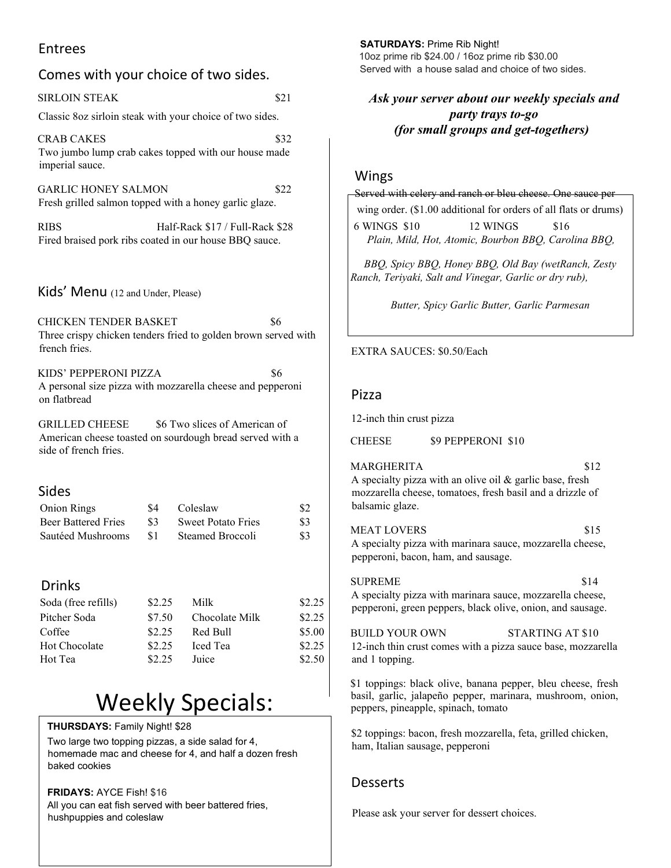## Entrees

| <b>Entrees</b>                                                                       | 10oz prime rib \$24.00 / 16                                          |                                                                   |                            |                                                                                                     |                     |
|--------------------------------------------------------------------------------------|----------------------------------------------------------------------|-------------------------------------------------------------------|----------------------------|-----------------------------------------------------------------------------------------------------|---------------------|
| Comes with your choice of two sides.                                                 |                                                                      |                                                                   |                            | Served with a house sala                                                                            |                     |
| <b>SIRLOIN STEAK</b>                                                                 |                                                                      | \$21                                                              | Ask your server abo        |                                                                                                     |                     |
|                                                                                      |                                                                      | Classic 8oz sirloin steak with your choice of two sides.          |                            |                                                                                                     | part                |
| <b>CRAB CAKES</b><br>imperial sauce.                                                 |                                                                      | Two jumbo lump crab cakes topped with our house made              | \$32                       |                                                                                                     | (for small grou     |
| <b>GARLIC HONEY SALMON</b><br>Fresh grilled salmon topped with a honey garlic glaze. | Wings<br>Served with celery and rand<br>wing order. (\$1.00 addition |                                                                   |                            |                                                                                                     |                     |
| <b>RIBS</b><br>Fired braised pork ribs coated in our house BBQ sauce.                | 6 WINGS \$10<br>Plain, Mild, Hot, Atomic                             |                                                                   |                            |                                                                                                     |                     |
|                                                                                      |                                                                      |                                                                   |                            | BBQ, Spicy BBQ, Honey<br>Ranch, Teriyaki, Salt and Vi                                               |                     |
| Kids' Menu (12 and Under, Please)<br><b>CHICKEN TENDER BASKET</b>                    |                                                                      | \$6                                                               |                            |                                                                                                     | Butter, Spicy Garli |
| Three crispy chicken tenders fried to golden brown served with<br>french fries.      | EXTRA SAUCES: \$0.50/E                                               |                                                                   |                            |                                                                                                     |                     |
| KIDS' PEPPERONI PIZZA<br>on flatbread                                                |                                                                      | \$6<br>A personal size pizza with mozzarella cheese and pepperoni |                            | Pizza                                                                                               |                     |
| <b>GRILLED CHEESE</b>                                                                | 12-inch thin crust pizza                                             |                                                                   |                            |                                                                                                     |                     |
| side of french fries.                                                                |                                                                      | American cheese toasted on sourdough bread served with a          |                            | <b>CHEESE</b>                                                                                       | \$9 PEPPE           |
| <b>Sides</b><br><b>Onion Rings</b>                                                   | \$4                                                                  | Coleslaw                                                          | \$2                        | <b>MARGHERITA</b><br>A specialty pizza with an ol<br>mozzarella cheese, tomatoes<br>balsamic glaze. |                     |
| <b>Beer Battered Fries</b><br>Sautéed Mushrooms                                      | \$3<br>\$1                                                           | <b>Sweet Potato Fries</b><br>Steamed Broccoli                     | \$3<br>\$3                 | <b>MEAT LOVERS</b><br>A specialty pizza with marin<br>pepperoni, bacon, ham, and                    |                     |
| <b>Drinks</b><br>Soda (free refills)<br>Pitcher Soda                                 | \$2.25<br>\$7.50                                                     | Milk<br>Chocolate Milk                                            | \$2.25<br>\$2.25           | <b>SUPREME</b><br>A specialty pizza with marii<br>pepperoni, green peppers, b                       |                     |
| Coffee<br>Hot Chocolate<br>Hot Tea                                                   | \$2.25<br>\$2.25<br>\$2.25                                           | Red Bull<br>Iced Tea<br>Juice                                     | \$5.00<br>\$2.25<br>\$2.50 | <b>BUILD YOUR OWN</b><br>12-inch thin crust comes wit<br>and 1 topping.                             |                     |
|                                                                                      |                                                                      |                                                                   |                            | \$1 toppings: black olive, ba                                                                       |                     |

# Weekly Specials:

**THURSDAYS:** Family Night! \$28

Two large two topping pizzas, a side salad for 4, homemade mac and cheese for 4, and half a dozen fresh baked cookies

**FRIDAYS:** AYCE Fish! \$16 All you can eat fish served with beer battered fries, hushpuppies and coleslaw

**SATURDAYS:** Prime Rib Night!

10oz prime rib \$24.00 / 16oz prime rib \$30.00 d and choice of two sides.

*Ask your server about our weekly specials and party trays to-go (for small groups and get-togethers)* 

ch or bleu cheese. One sauce per nal for orders of all flats or drums)

2 WINGS \$16 *Plain, Mild, Hot, Atomic, Bourbon BBQ, Carolina BBQ,* 

*BBQ, Spicy BBQ, Honey BBQ, Old Bay (wetRanch, Zesty Ranch, Teriyaki, Salt and Vinegar, Garlic or dry rub),* 

*Butter, Spicy Garlic Butter, Garlic Parmesan*

#### EXTRA SAUCES: \$0.50/Each

ERONI \$10

| MARGHERITA                                                                                                                                  | \$12 |
|---------------------------------------------------------------------------------------------------------------------------------------------|------|
| A specialty pizza with an olive oil $\&$ garlic base, fresh<br>mozzarella cheese, tomatoes, fresh basil and a drizzle of<br>balsamic glaze. |      |
| <b>MEAT LOVERS</b>                                                                                                                          | \$15 |
| A specialty pizza with marinara sauce, mozzarella cheese,                                                                                   |      |
| pepperoni, bacon, ham, and sausage.                                                                                                         |      |

SUPREME \$14 nara sauce, mozzarella cheese, lack olive, onion, and sausage.

STARTING AT \$10 th a pizza sauce base, mozzarella

anana pepper, bleu cheese, fresh basil, garlic, jalapeño pepper, marinara, mushroom, onion, peppers, pineapple, spinach, tomato

\$2 toppings: bacon, fresh mozzarella, feta, grilled chicken, ham, Italian sausage, pepperoni

### Desserts

Please ask your server for dessert choices.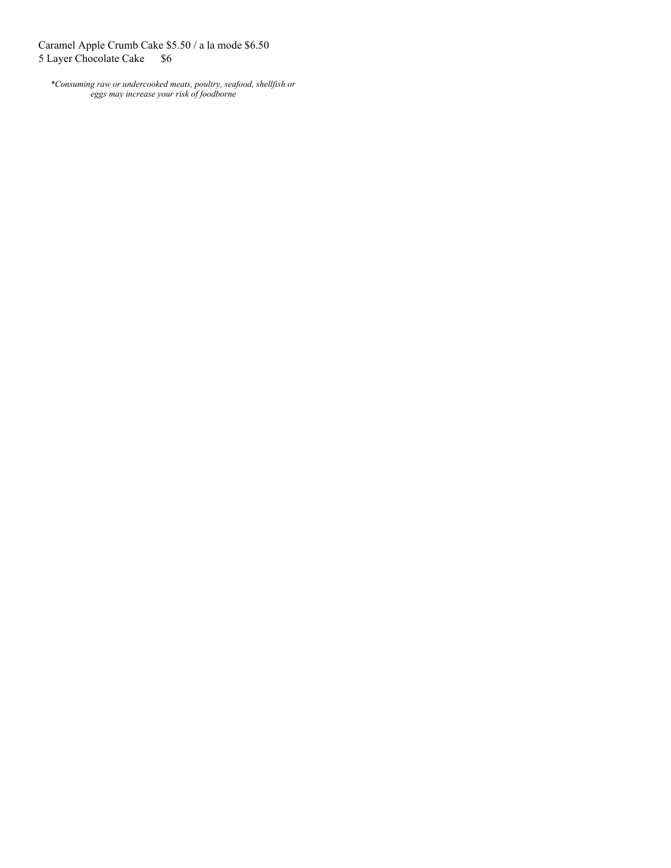Caramel Apple Crumb Cake \$5.50 / a la mode \$6.50 5 Layer Chocolate Cake \$6

*\*Consuming raw or undercooked meats, poultry, seafood, shellfish or eggs may increase your risk of foodborne*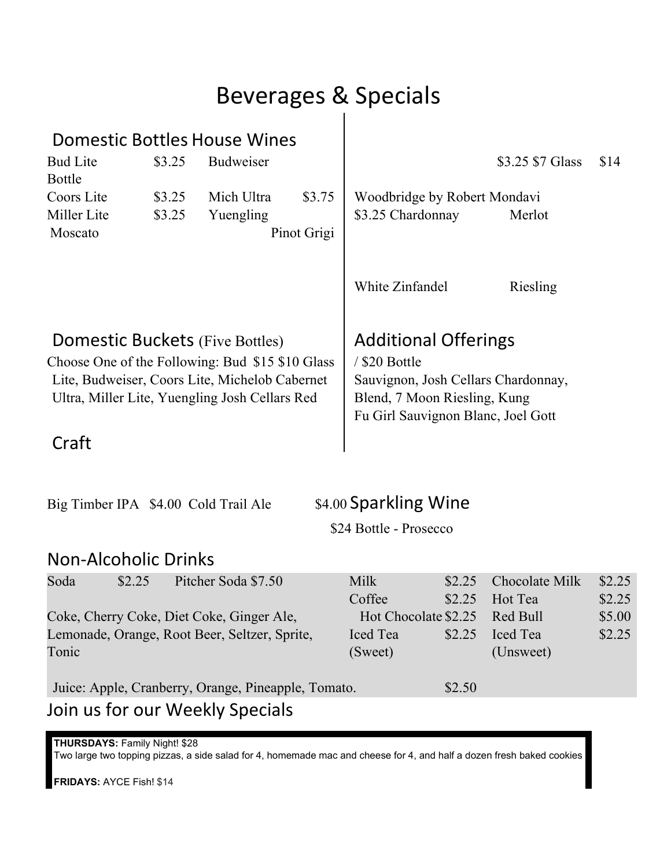# Beverages & Specials

| Domestic Bottles House Wines                                                                     |        |                     |             |                                    |                                                                     |                       |        |  |
|--------------------------------------------------------------------------------------------------|--------|---------------------|-------------|------------------------------------|---------------------------------------------------------------------|-----------------------|--------|--|
| <b>Bud Lite</b><br><b>Bottle</b>                                                                 | \$3.25 | Budweiser           |             |                                    |                                                                     | \$3.25 \$7 Glass      | \$14   |  |
| Coors Lite                                                                                       | \$3.25 | Mich Ultra          | \$3.75      | Woodbridge by Robert Mondavi       |                                                                     |                       |        |  |
| Miller Lite                                                                                      | \$3.25 | Yuengling           |             | \$3.25 Chardonnay                  |                                                                     | Merlot                |        |  |
| Moscato                                                                                          |        |                     | Pinot Grigi |                                    |                                                                     |                       |        |  |
|                                                                                                  |        |                     |             | White Zinfandel                    |                                                                     | Riesling              |        |  |
| <b>Domestic Buckets (Five Bottles)</b>                                                           |        |                     |             | <b>Additional Offerings</b>        |                                                                     |                       |        |  |
| Choose One of the Following: Bud \$15 \$10 Glass                                                 |        |                     |             | / \$20 Bottle                      |                                                                     |                       |        |  |
| Lite, Budweiser, Coors Lite, Michelob Cabernet<br>Ultra, Miller Lite, Yuengling Josh Cellars Red |        |                     |             |                                    | Sauvignon, Josh Cellars Chardonnay,<br>Blend, 7 Moon Riesling, Kung |                       |        |  |
|                                                                                                  |        |                     |             | Fu Girl Sauvignon Blanc, Joel Gott |                                                                     |                       |        |  |
| Craft                                                                                            |        |                     |             |                                    |                                                                     |                       |        |  |
| Big Timber IPA \$4.00 Cold Trail Ale                                                             |        |                     |             | \$4.00 Sparkling Wine              |                                                                     |                       |        |  |
|                                                                                                  |        |                     |             | \$24 Bottle - Prosecco             |                                                                     |                       |        |  |
| <b>Non-Alcoholic Drinks</b>                                                                      |        |                     |             |                                    |                                                                     |                       |        |  |
| Soda<br>\$2.25                                                                                   |        | Pitcher Soda \$7.50 |             | Milk                               | \$2.25                                                              | Chocolate Milk        | \$2.25 |  |
|                                                                                                  |        |                     |             | Coffee                             | \$2.25                                                              | Hot Tea               | \$2.25 |  |
| Coke, Cherry Coke, Diet Coke, Ginger Ale,                                                        |        |                     |             | Hot Chocolate \$2.25               |                                                                     | Red Bull              | \$5.00 |  |
| Lemonade, Orange, Root Beer, Seltzer, Sprite,<br>Tonic                                           |        |                     |             | Iced Tea<br>(Sweet)                | \$2.25                                                              | Iced Tea<br>(Unsweet) | \$2.25 |  |
| Juice: Apple, Cranberry, Orange, Pineapple, Tomato.                                              |        |                     |             |                                    | \$2.50                                                              |                       |        |  |
| Join us for our Weekly Specials                                                                  |        |                     |             |                                    |                                                                     |                       |        |  |

**THURSDAYS:** Family Night! \$28 Two large two topping pizzas, a side salad for 4, homemade mac and cheese for 4, and half a dozen fresh baked cookies

**FRIDAYS:** AYCE Fish! \$14